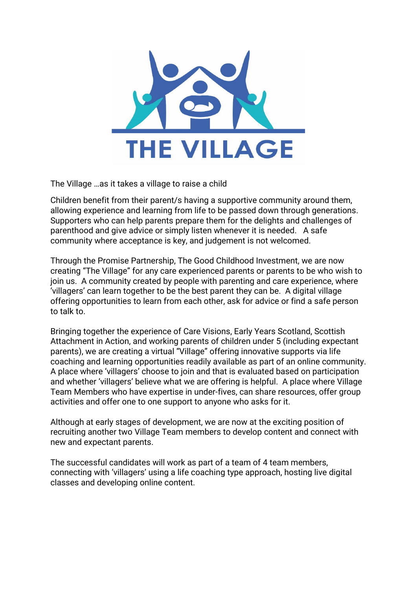

The Village …as it takes a village to raise a child

Children benefit from their parent/s having a supportive community around them, allowing experience and learning from life to be passed down through generations. Supporters who can help parents prepare them for the delights and challenges of parenthood and give advice or simply listen whenever it is needed. A safe community where acceptance is key, and judgement is not welcomed.

Through the Promise Partnership, The Good Childhood Investment, we are now creating "The Village" for any care experienced parents or parents to be who wish to join us. A community created by people with parenting and care experience, where 'villagers' can learn together to be the best parent they can be. A digital village offering opportunities to learn from each other, ask for advice or find a safe person to talk to.

Bringing together the experience of Care Visions, Early Years Scotland, Scottish Attachment in Action, and working parents of children under 5 (including expectant parents), we are creating a virtual "Village" offering innovative supports via life coaching and learning opportunities readily available as part of an online community. A place where 'villagers' choose to join and that is evaluated based on participation and whether 'villagers' believe what we are offering is helpful. A place where Village Team Members who have expertise in under-fives, can share resources, offer group activities and offer one to one support to anyone who asks for it.

Although at early stages of development, we are now at the exciting position of recruiting another two Village Team members to develop content and connect with new and expectant parents.

The successful candidates will work as part of a team of 4 team members, connecting with 'villagers' using a life coaching type approach, hosting live digital classes and developing online content.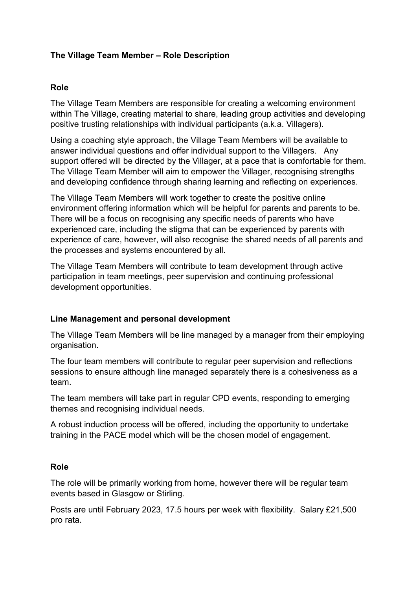### **The Village Team Member – Role Description**

#### **Role**

The Village Team Members are responsible for creating a welcoming environment within The Village, creating material to share, leading group activities and developing positive trusting relationships with individual participants (a.k.a. Villagers).

Using a coaching style approach, the Village Team Members will be available to answer individual questions and offer individual support to the Villagers. Any support offered will be directed by the Villager, at a pace that is comfortable for them. The Village Team Member will aim to empower the Villager, recognising strengths and developing confidence through sharing learning and reflecting on experiences.

The Village Team Members will work together to create the positive online environment offering information which will be helpful for parents and parents to be. There will be a focus on recognising any specific needs of parents who have experienced care, including the stigma that can be experienced by parents with experience of care, however, will also recognise the shared needs of all parents and the processes and systems encountered by all.

The Village Team Members will contribute to team development through active participation in team meetings, peer supervision and continuing professional development opportunities.

#### **Line Management and personal development**

The Village Team Members will be line managed by a manager from their employing organisation.

The four team members will contribute to regular peer supervision and reflections sessions to ensure although line managed separately there is a cohesiveness as a team.

The team members will take part in regular CPD events, responding to emerging themes and recognising individual needs.

A robust induction process will be offered, including the opportunity to undertake training in the PACE model which will be the chosen model of engagement.

#### **Role**

The role will be primarily working from home, however there will be regular team events based in Glasgow or Stirling.

Posts are until February 2023, 17.5 hours per week with flexibility. Salary £21,500 pro rata.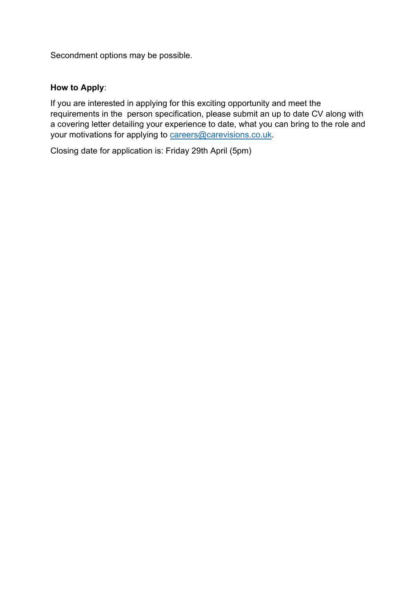Secondment options may be possible.

### **How to Apply**:

If you are interested in applying for this exciting opportunity and meet the requirements in the person specification, please submit an up to date CV along with a covering letter detailing your experience to date, what you can bring to the role and your motivations for applying t[o careers@carevisions.co.uk](mailto:careers@carevisions.co.uk).

Closing date for application is: Friday 29th April (5pm)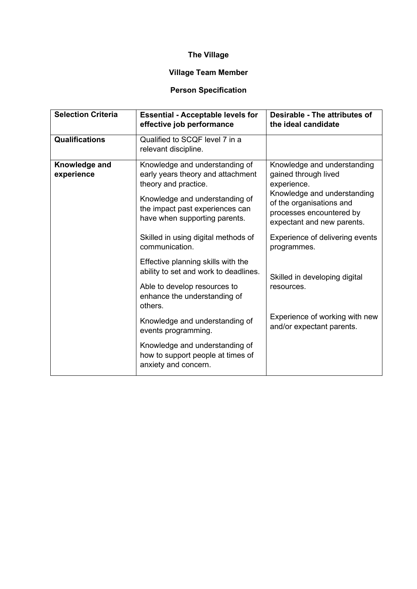# **The Village**

## **Village Team Member**

# **Person Specification**

| <b>Selection Criteria</b>   | <b>Essential - Acceptable levels for</b><br>effective job performance                                                                                                                             | Desirable - The attributes of<br>the ideal candidate                                                                                                                                    |
|-----------------------------|---------------------------------------------------------------------------------------------------------------------------------------------------------------------------------------------------|-----------------------------------------------------------------------------------------------------------------------------------------------------------------------------------------|
| <b>Qualifications</b>       | Qualified to SCQF level 7 in a<br>relevant discipline.                                                                                                                                            |                                                                                                                                                                                         |
| Knowledge and<br>experience | Knowledge and understanding of<br>early years theory and attachment<br>theory and practice.<br>Knowledge and understanding of<br>the impact past experiences can<br>have when supporting parents. | Knowledge and understanding<br>gained through lived<br>experience.<br>Knowledge and understanding<br>of the organisations and<br>processes encountered by<br>expectant and new parents. |
|                             | Skilled in using digital methods of<br>communication.                                                                                                                                             | Experience of delivering events<br>programmes.                                                                                                                                          |
|                             | Effective planning skills with the<br>ability to set and work to deadlines.                                                                                                                       | Skilled in developing digital                                                                                                                                                           |
|                             | Able to develop resources to<br>enhance the understanding of<br>others.                                                                                                                           | resources.                                                                                                                                                                              |
|                             | Knowledge and understanding of<br>events programming.                                                                                                                                             | Experience of working with new<br>and/or expectant parents.                                                                                                                             |
|                             | Knowledge and understanding of<br>how to support people at times of<br>anxiety and concern.                                                                                                       |                                                                                                                                                                                         |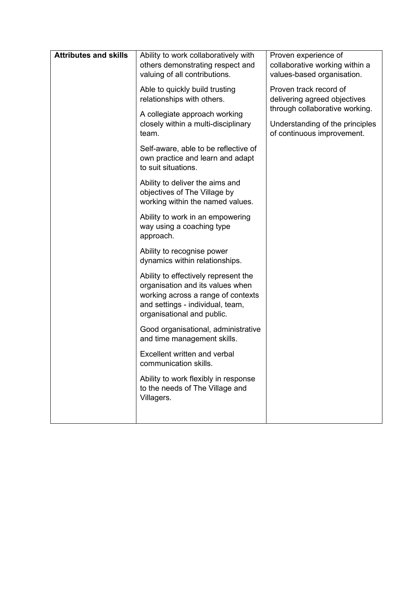| <b>Attributes and skills</b> | Ability to work collaboratively with<br>others demonstrating respect and                                                                                                         | Proven experience of<br>collaborative working within a                                          |
|------------------------------|----------------------------------------------------------------------------------------------------------------------------------------------------------------------------------|-------------------------------------------------------------------------------------------------|
|                              | valuing of all contributions.                                                                                                                                                    | values-based organisation.                                                                      |
|                              | Able to quickly build trusting<br>relationships with others.                                                                                                                     | Proven track record of<br>delivering agreed objectives                                          |
|                              | A collegiate approach working<br>closely within a multi-disciplinary<br>team.                                                                                                    | through collaborative working.<br>Understanding of the principles<br>of continuous improvement. |
|                              | Self-aware, able to be reflective of<br>own practice and learn and adapt<br>to suit situations.                                                                                  |                                                                                                 |
|                              | Ability to deliver the aims and<br>objectives of The Village by<br>working within the named values.                                                                              |                                                                                                 |
|                              | Ability to work in an empowering<br>way using a coaching type<br>approach.                                                                                                       |                                                                                                 |
|                              | Ability to recognise power<br>dynamics within relationships.                                                                                                                     |                                                                                                 |
|                              | Ability to effectively represent the<br>organisation and its values when<br>working across a range of contexts<br>and settings - individual, team,<br>organisational and public. |                                                                                                 |
|                              | Good organisational, administrative<br>and time management skills.                                                                                                               |                                                                                                 |
|                              | Excellent written and verbal<br>communication skills.                                                                                                                            |                                                                                                 |
|                              | Ability to work flexibly in response<br>to the needs of The Village and<br>Villagers.                                                                                            |                                                                                                 |
|                              |                                                                                                                                                                                  |                                                                                                 |